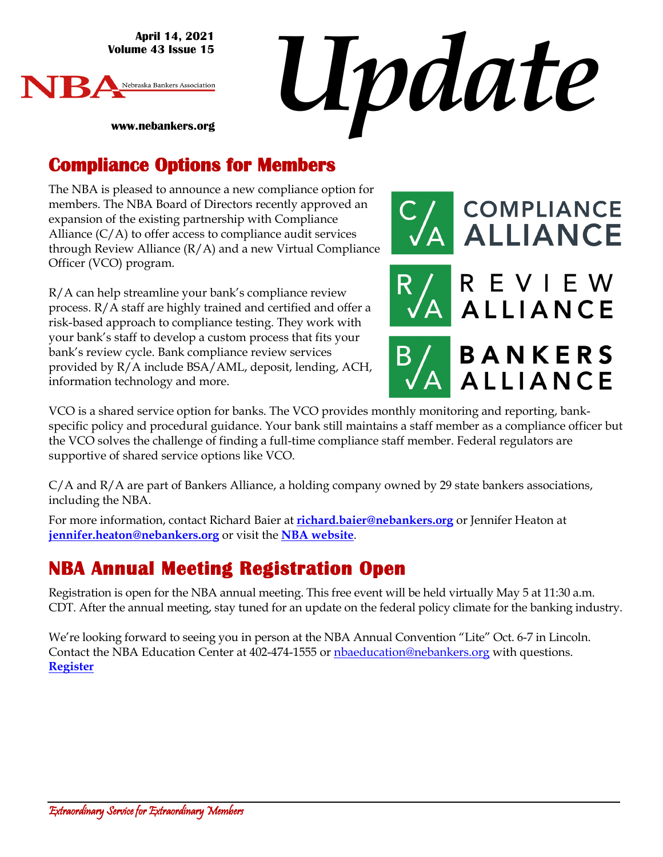**April 14, 2021 Volume 43 Issue 15**





**www.nebankers.org**

#### **Compliance Options for Members**

The NBA is pleased to announce a new compliance option for members. The NBA Board of Directors recently approved an expansion of the existing partnership with Compliance Alliance  $(C/A)$  to offer access to compliance audit services through Review Alliance (R/A) and a new Virtual Compliance Officer (VCO) program.

R/A can help streamline your bank's compliance review process. R/A staff are highly trained and certified and offer a risk-based approach to compliance testing. They work with your bank's staff to develop a custom process that fits your bank's review cycle. Bank compliance review services provided by R/A include BSA/AML, deposit, lending, ACH, information technology and more.



VCO is a shared service option for banks. The VCO provides monthly monitoring and reporting, bankspecific policy and procedural guidance. Your bank still maintains a staff member as a compliance officer but the VCO solves the challenge of finding a full-time compliance staff member. Federal regulators are supportive of shared service options like VCO.

C/A and R/A are part of Bankers Alliance, a holding company owned by 29 state bankers associations, including the NBA.

For more information, contact Richard Baier at **[richard.baier@nebankers.org](mailto:richard.baier@nebankers.org)** or Jennifer Heaton at **[jennifer.heaton@nebankers.org](mailto:jennifer.heaton@nebankers.org)** or visit the **NBA [website](https://www.nebankers.org/compliance-alliance.html)**.

### **NBA Annual Meeting Registration Open**

Registration is open for the NBA annual meeting. This free event will be held virtually May 5 at 11:30 a.m. CDT. After the annual meeting, stay tuned for an update on the federal policy climate for the banking industry.

We're looking forward to seeing you in person at the NBA Annual Convention "Lite" Oct. 6-7 in Lincoln. Contact the NBA Education Center at 402-474-1555 or [nbaeducation@nebankers.org](mailto:nbaeducation@nebankers.org) with questions. **[Register](http://bit.ly/NBA83wiDn)**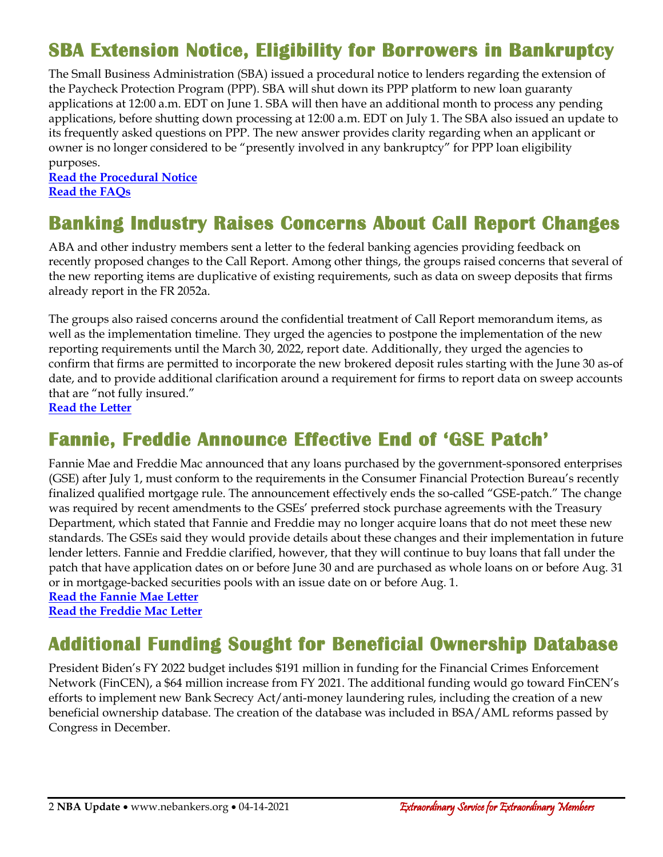# **SBA Extension Notice, Eligibility for Borrowers in Bankruptcy**

The Small Business Administration (SBA) issued a procedural notice to lenders regarding the extension of the Paycheck Protection Program (PPP). SBA will shut down its PPP platform to new loan guaranty applications at 12:00 a.m. EDT on June 1. SBA will then have an additional month to process any pending applications, before shutting down processing at 12:00 a.m. EDT on July 1. The SBA also issued an update to its frequently asked questions on PPP. The new answer provides clarity regarding when an applicant or owner is no longer considered to be "presently involved in any bankruptcy" for PPP loan eligibility purposes.

**[Read the Procedural Notice](https://www.sba.gov/sites/default/files/2021-04/5000-808756.pdf) [Read the FAQs](https://www.sba.gov/sites/default/files/2021-04/PPP%20FAQs%204.6.21%20FINAL-508.pdf)** 

#### **Banking Industry Raises Concerns About Call Report Changes**

ABA and other industry members sent a letter to the federal banking agencies providing feedback on recently proposed changes to the Call Report. Among other things, the groups raised concerns that several of the new reporting items are duplicative of existing requirements, such as data on sweep deposits that firms already report in the FR 2052a.

The groups also raised concerns around the confidential treatment of Call Report memorandum items, as well as the implementation timeline. They urged the agencies to postpone the implementation of the new reporting requirements until the March 30, 2022, report date. Additionally, they urged the agencies to confirm that firms are permitted to incorporate the new brokered deposit rules starting with the June 30 as-of date, and to provide additional clarification around a requirement for firms to report data on sweep accounts that are "not fully insured."

**[Read the Letter](https://www.aba.com/-/media/documents/comment-letter/jointltrcallreport20210406.pdf)**

### **Fannie, Freddie Announce Effective End of 'GSE Patch'**

Fannie Mae and Freddie Mac announced that any loans purchased by the government-sponsored enterprises (GSE) after July 1, must conform to the requirements in the Consumer Financial Protection Bureau's recently finalized qualified mortgage rule. The announcement effectively ends the so-called "GSE-patch." The change was required by recent amendments to the GSEs' preferred stock purchase agreements with the Treasury Department, which stated that Fannie and Freddie may no longer acquire loans that do not meet these new standards. The GSEs said they would provide details about these changes and their implementation in future lender letters. Fannie and Freddie clarified, however, that they will continue to buy loans that fall under the patch that have application dates on or before June 30 and are purchased as whole loans on or before Aug. 31 or in mortgage-backed securities pools with an issue date on or before Aug. 1.

**[Read the Fannie Mae Letter](https://singlefamily.fanniemae.com/media/25566/display) [Read the Freddie Mac Letter](https://guide.freddiemac.com/ci/okcsFattach/get/1006763_7)**

#### **Additional Funding Sought for Beneficial Ownership Database**

President Biden's FY 2022 budget includes \$191 million in funding for the Financial Crimes Enforcement Network (FinCEN), a \$64 million increase from FY 2021. The additional funding would go toward FinCEN's efforts to implement new Bank Secrecy Act/anti-money laundering rules, including the creation of a new beneficial ownership database. The creation of the database was included in BSA/AML reforms passed by Congress in December.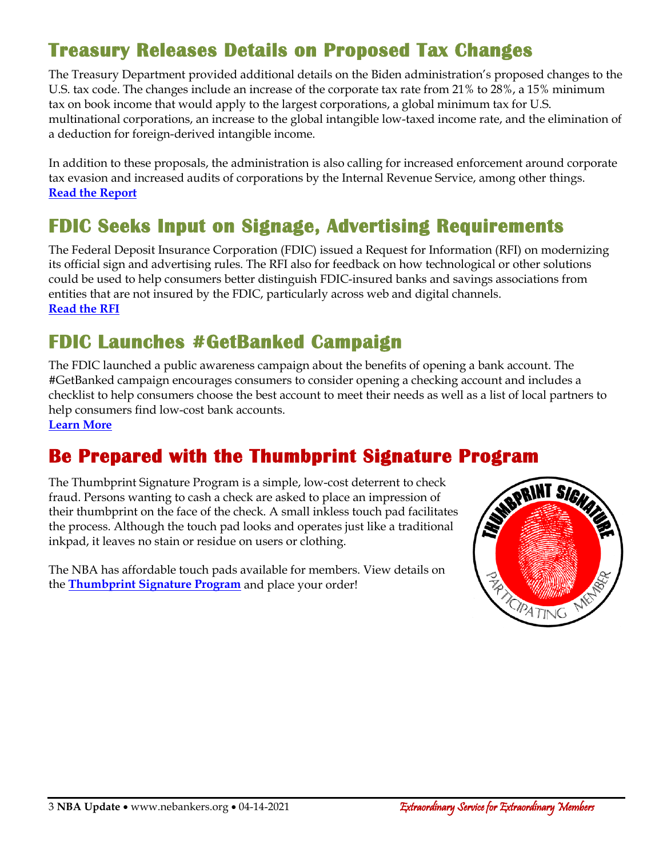# **Treasury Releases Details on Proposed Tax Changes**

The Treasury Department provided additional details on the Biden administration's proposed changes to the U.S. tax code. The changes include an increase of the corporate tax rate from 21% to 28%, a 15% minimum tax on book income that would apply to the largest corporations, a global minimum tax for U.S. multinational corporations, an increase to the global intangible low-taxed income rate, and the elimination of a deduction for foreign-derived intangible income.

In addition to these proposals, the administration is also calling for increased enforcement around corporate tax evasion and increased audits of corporations by the Internal Revenue Service, among other things. **[Read the Report](https://home.treasury.gov/system/files/136/MadeInAmericaTaxPlan_Report.pdf)**

# **FDIC Seeks Input on Signage, Advertising Requirements**

The Federal Deposit Insurance Corporation (FDIC) issued a Request for Information (RFI) on modernizing its official sign and advertising rules. The RFI also for feedback on how technological or other solutions could be used to help consumers better distinguish FDIC-insured banks and savings associations from entities that are not insured by the FDIC, particularly across web and digital channels. **[Read the RFI](https://www.govinfo.gov/content/pkg/FR-2021-04-09/pdf/2021-07356.pdf)**

### **FDIC Launches #GetBanked Campaign**

The FDIC launched a public awareness campaign about the benefits of opening a bank account. The #GetBanked campaign encourages consumers to consider opening a checking account and includes a checklist to help consumers choose the best account to meet their needs as well as a list of local partners to help consumers find low-cost bank accounts. **[Learn More](https://www.fdic.gov/getbanked/)**

# **Be Prepared with the Thumbprint Signature Program**

The Thumbprint Signature Program is a simple, low-cost deterrent to check fraud. Persons wanting to cash a check are asked to place an impression of their thumbprint on the face of the check. A small inkless touch pad facilitates the process. Although the touch pad looks and operates just like a traditional inkpad, it leaves no stain or residue on users or clothing.

The NBA has affordable touch pads available for members. View details on the **[Thumbprint Signature Program](https://www.nebankers.org/uploads/8/1/6/4/81640974/order-form-thumbprint-program.pdf)** and place your order!

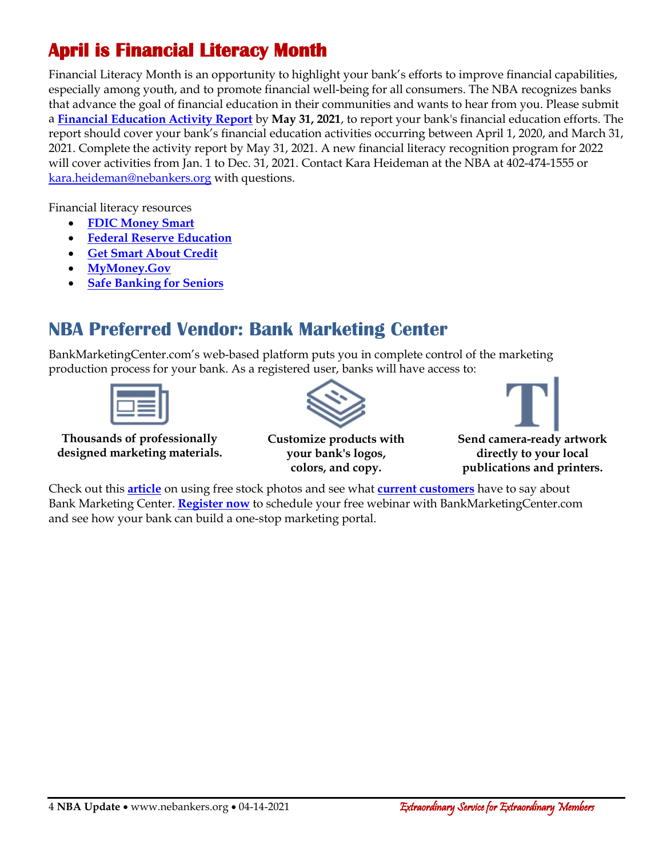# **April is Financial Literacy Month**

Financial Literacy Month is an opportunity to highlight your bank's efforts to improve financial capabilities, especially among youth, and to promote financial well-being for all consumers. The NBA recognizes banks that advance the goal of financial education in their communities and wants to hear from you. Please submit a **[Financial Education Activity Report](https://www.nebankers.org/pepprogram.html)** by **May 31, 2021**, to report your bank's financial education efforts. The report should cover your bank's financial education activities occurring between April 1, 2020, and March 31, 2021. Complete th[e activity report](https://www.nebankers.org/pepprogram.html) by May 31, 2021. A new financial literacy recognition program for 2022 will cover activities from Jan. 1 to Dec. 31, 2021. Contact Kara Heideman at the NBA at 402-474-1555 or [kara.heideman@nebankers.org](mailto:kara.heideman@nebankers.org) with questions.

Financial literacy resources

- **[FDIC Money Smart](https://www.fdic.gov/resources/consumers/money-smart/index.html)**
- **[Federal Reserve Education](https://www.federalreserveeducation.org/)**
- **[Get Smart About Credit](https://www.aba.com/advocacy/community-programs/get-smart-about-credit)**
- **[MyMoney.Gov](https://www.mymoney.gov/Pages/default.aspx)**
- **[Safe Banking for Seniors](https://www.aba.com/advocacy/community-programs/safe-banking-for-seniors)**

#### **NBA Preferred Vendor: Bank Marketing Center**

BankMarketingCenter.com's web-based platform puts you in complete control of the marketing production process for your bank. As a registered user, banks will have access to:



**Thousands of professionally designed marketing materials.**



**Customize products with your bank's logos, colors, and copy.**



Check out this **[article](http://www.nebankers.org/uploads/8/1/6/4/81640974/bmcfreestockphotos.pdf)** on using free stock photos and see what **[current customers](http://www.nebankers.org/uploads/8/1/6/4/81640974/bmcclientlove.pdf)** have to say about Bank Marketing Center. **[Register now](http://www.bankmarketingcenter.com/RegisterBmc.aspx?ref=ne)** to schedule your free webinar with BankMarketingCenter.com and see how your bank can build a one-stop marketing portal.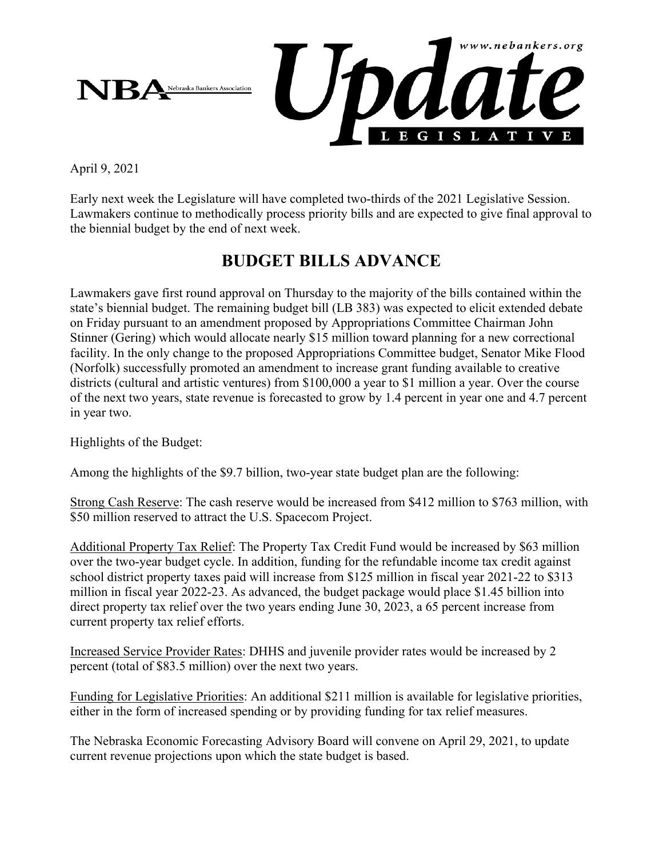

April 9, 2021

Early next week the Legislature will have completed two-thirds of the 2021 Legislative Session. Lawmakers continue to methodically process priority bills and are expected to give final approval to the biennial budget by the end of next week.

#### **BUDGET BILLS ADVANCE**

Lawmakers gave first round approval on Thursday to the majority of the bills contained within the state's biennial budget. The remaining budget bill (LB 383) was expected to elicit extended debate on Friday pursuant to an amendment proposed by Appropriations Committee Chairman John Stinner (Gering) which would allocate nearly \$15 million toward planning for a new correctional facility. In the only change to the proposed Appropriations Committee budget, Senator Mike Flood (Norfolk) successfully promoted an amendment to increase grant funding available to creative districts (cultural and artistic ventures) from \$100,000 a year to \$1 million a year. Over the course of the next two years, state revenue is forecasted to grow by 1.4 percent in year one and 4.7 percent in year two.

Highlights of the Budget:

Among the highlights of the \$9.7 billion, two-year state budget plan are the following:

Strong Cash Reserve: The cash reserve would be increased from \$412 million to \$763 million, with \$50 million reserved to attract the U.S. Spacecom Project.

Additional Property Tax Relief: The Property Tax Credit Fund would be increased by \$63 million over the two-year budget cycle. In addition, funding for the refundable income tax credit against school district property taxes paid will increase from \$125 million in fiscal year 2021-22 to \$313 million in fiscal year 2022-23. As advanced, the budget package would place \$1.45 billion into direct property tax relief over the two years ending June 30, 2023, a 65 percent increase from current property tax relief efforts.

Increased Service Provider Rates: DHHS and juvenile provider rates would be increased by 2 percent (total of \$83.5 million) over the next two years.

Funding for Legislative Priorities: An additional \$211 million is available for legislative priorities, either in the form of increased spending or by providing funding for tax relief measures.

The Nebraska Economic Forecasting Advisory Board will convene on April 29, 2021, to update current revenue projections upon which the state budget is based.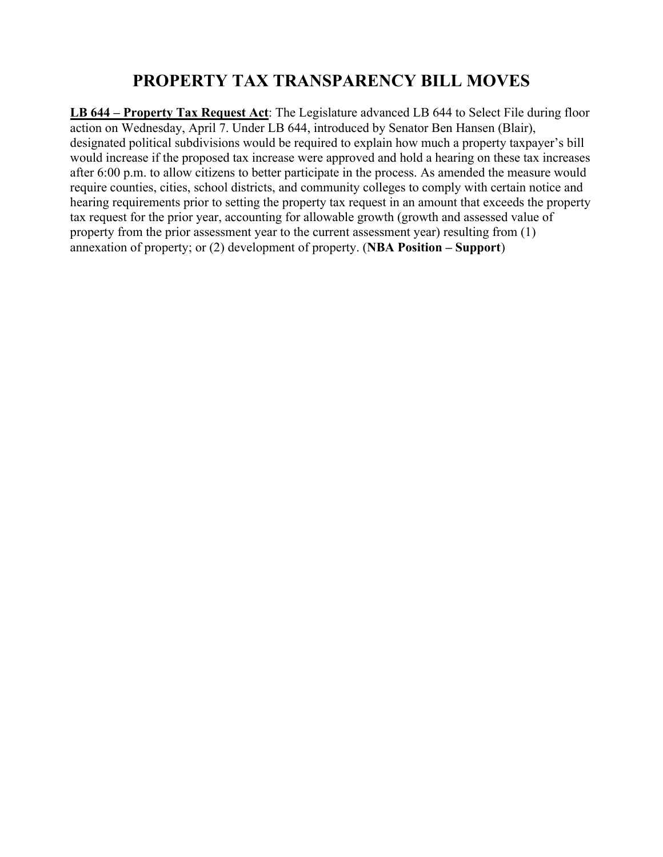#### **PROPERTY TAX TRANSPARENCY BILL MOVES**

**LB 644 – Property Tax Request Act**: The Legislature advanced LB 644 to Select File during floor action on Wednesday, April 7. Under LB 644, introduced by Senator Ben Hansen (Blair), designated political subdivisions would be required to explain how much a property taxpayer's bill would increase if the proposed tax increase were approved and hold a hearing on these tax increases after 6:00 p.m. to allow citizens to better participate in the process. As amended the measure would require counties, cities, school districts, and community colleges to comply with certain notice and hearing requirements prior to setting the property tax request in an amount that exceeds the property tax request for the prior year, accounting for allowable growth (growth and assessed value of property from the prior assessment year to the current assessment year) resulting from (1) annexation of property; or (2) development of property. (**NBA Position – Support**)